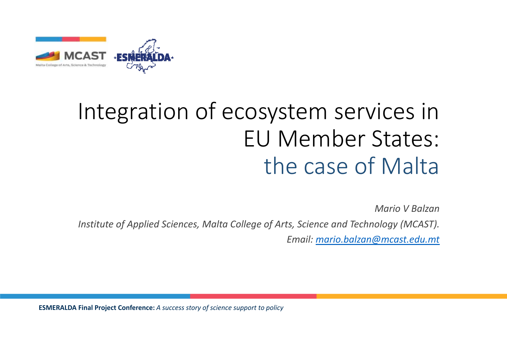

# Integration of ecosystem services in EU Member States: the case of Malta

*Mario V Balzan*

*Institute of Applied Sciences, Malta College of Arts, Science and Technology (MCAST).* 

*Email: mario.balzan@mcast.edu.mt*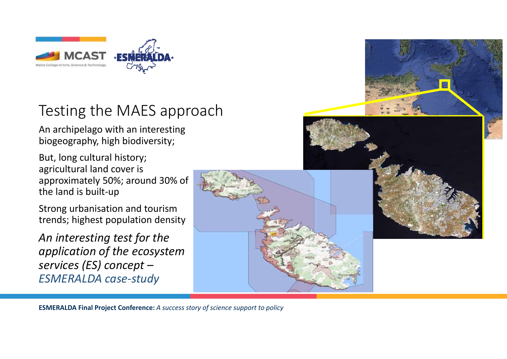

#### Testing the MAES approach

An archipelago with an interesting biogeography, high biodiversity;

But, long cultural history; agricultural land cover is approximately 50%; around 30% of the land is built‐up

Strong urbanisation and tourism trends; highest population density

*An interesting test for the application of the ecosystem services (ES) concept – ESMERALDA case‐study*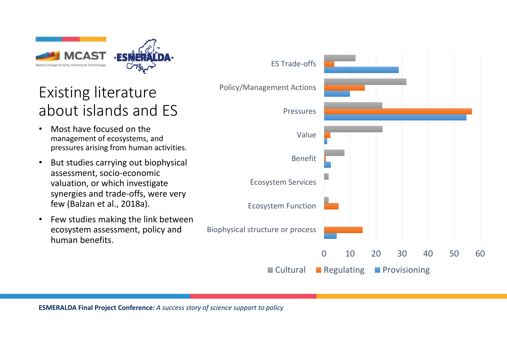

### Existing literature about islands and ES

- • Most have focused on the management of ecosystems, and pressures arising from human activities.
- • But studies carrying out biophysical assessment, socio‐economic valuation, or which investigate synergies and trade‐offs, were very few (Balzan et al., 2018a).
- $\bullet$  Few studies making the link between ecosystem assessment, policy and human benefits.

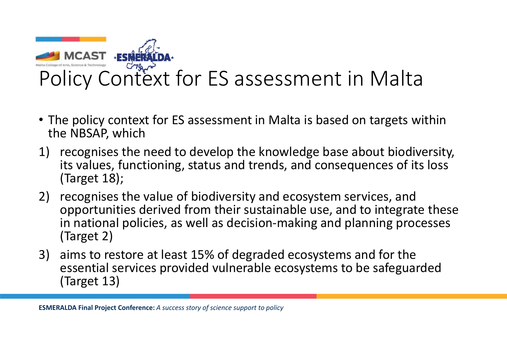

- The policy context for ES assessment in Malta is based on targets within the NBSAP, which
- 1) recognises the need to develop the knowledge base about biodiversity, its values, functioning, status and trends, and consequences of its loss (Target 18);
- 2) recognises the value of biodiversity and ecosystem services, and opportunities derived from their sustainable use, and to integrate these in national policies, as well as decision‐making and planning processes (Target 2)
- 3) aims to restore at least 15% of degraded ecosystems and for the essential services provided vulnerable ecosystems to be safeguarded (Target 13)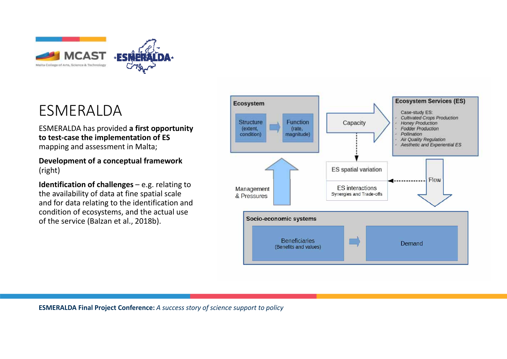

#### ESMERALDA

ESMERALDA has provided **a first opportunity to test‐case the implementation of ES**  mapping and assessment in Malta;

#### **Development of a conceptual framework**  (right)

**Identification of challenges** – e.g. relating to the availability of data at fine spatial scale and for data relating to the identification and condition of ecosystems, and the actual use of the service (Balzan et al., 2018b).

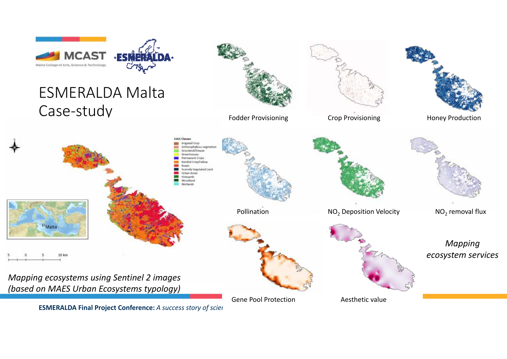

**ESMERALDA Final Project Conference:** *A success story of sciences*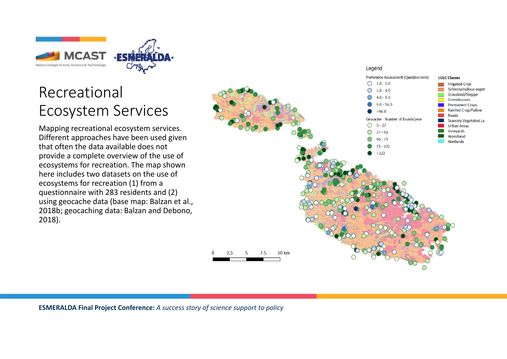

#### Recreational Ecosystem Services

Mapping recreational ecosystem services. Different approaches have been used given that often the data available does not provide a complete overview of the use of ecosystems for recreation. The map shown here includes two datasets on the use of ecosystems for recreation (1) from a questionnaire with 283 residents and (2) using geocache data (base map: Balzan et al., 2018b; geocaching data: Balzan and Debono, 2018).

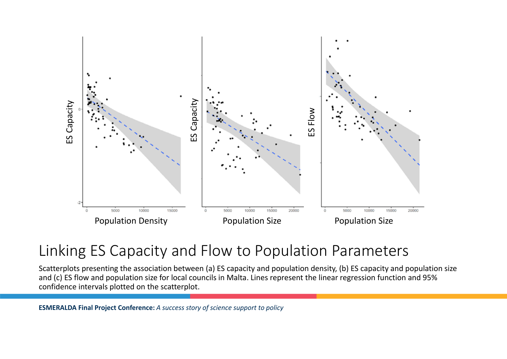

#### Linking ES Capacity and Flow to Population Parameters

Scatterplots presenting the association between (a) ES capacity and population density, (b) ES capacity and population size and (c) ES flow and population size for local councils in Malta. Lines represent the linear regression function and 95% confidence intervals plotted on the scatterplot.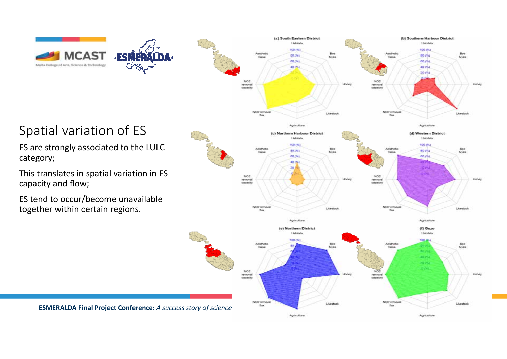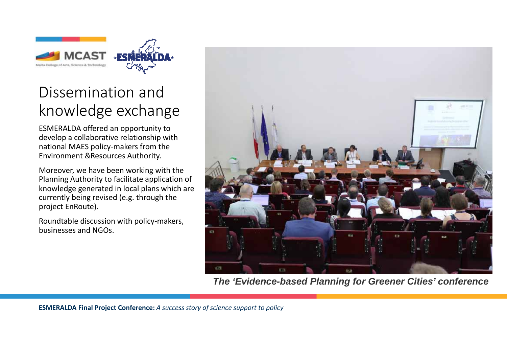

#### Dissemination and knowledge exchange

ESMERALDA offered an opportunity to develop a collaborative relationship with national MAES policy‐makers from the Environment &Resources Authority.

Moreover, we have been working with the Planning Authority to facilitate application of knowledge generated in local plans which are currently being revised (e.g. through the project EnRoute).

Roundtable discussion with policy‐makers, businesses and NGOs.



*The 'Evidence-based Planning for Greener Cities' conference*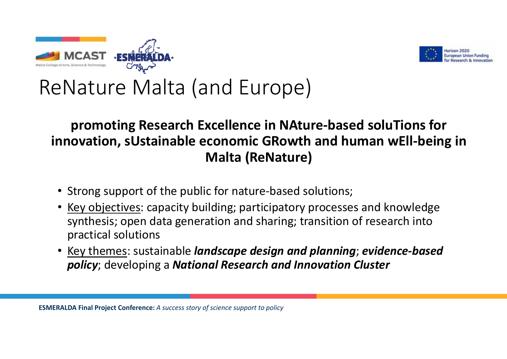



## ReNature Malta (and Europe)

#### **promoting Research Excellence in NAture‐based soluTions for innovation, sUstainable economic GRowth and human wEll‐being in Malta (ReNature)**

- Strong support of the public for nature-based solutions;
- Key objectives: capacity building; participatory processes and knowledge synthesis; open data generation and sharing; transition of research into practical solutions
- • Key themes: sustainable *landscape design and planning*; *evidence‐based policy*; developing a *National Research and Innovation Cluster*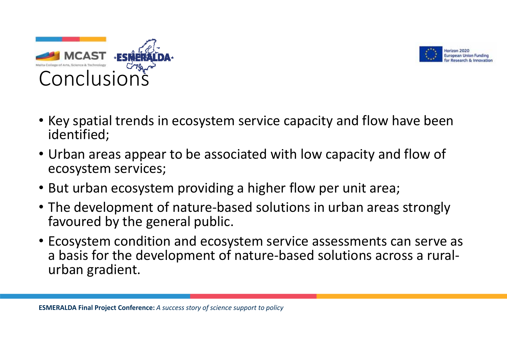



- Key spatial trends in ecosystem service capacity and flow have been identified;
- Urban areas appear to be associated with low capacity and flow of ecosystem services;
- But urban ecosystem providing a higher flow per unit area;
- The development of nature‐based solutions in urban areas strongly favoured by the general public.
- Ecosystem condition and ecosystem service assessments can serve as a basis for the development of nature‐based solutions across a rural‐ urban gradient.